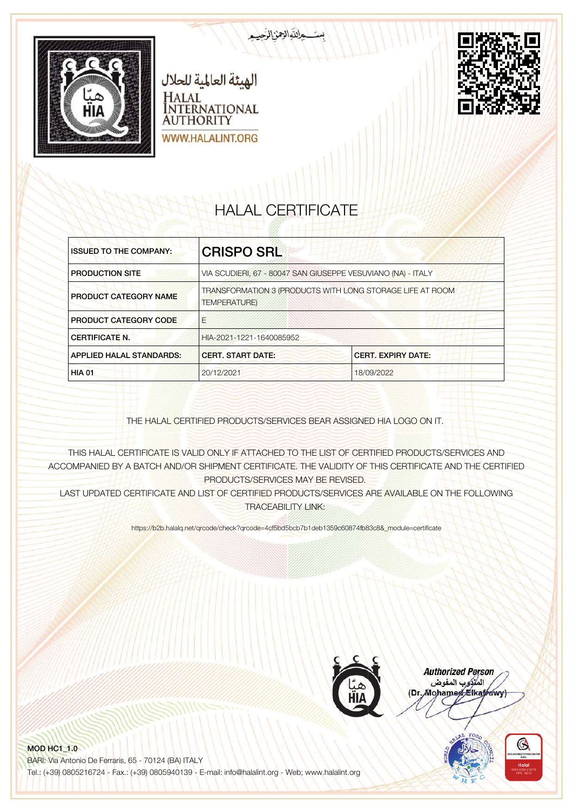



# HALAL CERTIFICATE

بالتوالزمن الرحي

| <b>ISSUED TO THE COMPANY:</b>   | <b>CRISPO SRL</b>                                                                |            |
|---------------------------------|----------------------------------------------------------------------------------|------------|
| <b>PRODUCTION SITE</b>          | VIA SCUDIERI, 67 - 80047 SAN GIUSEPPE VESUVIANO (NA) - ITALY                     |            |
| <b>PRODUCT CATEGORY NAME</b>    | TRANSFORMATION 3 (PRODUCTS WITH LONG STORAGE LIFE AT ROOM<br><b>TEMPERATURE)</b> |            |
| <b>PRODUCT CATEGORY CODE</b>    | F                                                                                |            |
| <b>CERTIFICATE N.</b>           | HIA-2021-1221-1640085952                                                         |            |
| <b>APPLIED HALAL STANDARDS:</b> | <b>CERT, START DATE:</b><br><b>CERT. EXPIRY DATE:</b>                            |            |
| <b>HIA 01</b>                   | 20/12/2021                                                                       | 18/09/2022 |

THE HALAL CERTIFIED PRODUCTS/SERVICES BEAR ASSIGNED HIA LOGO ON IT.

THIS HALAL CERTIFICATE IS VALID ONLY IF ATTACHED TO THE LIST OF CERTIFIED PRODUCTS/SERVICES AND ACCOMPANIED BY A BATCH AND/OR SHIPMENT CERTIFICATE. THE VALIDITY OF THIS CERTIFICATE AND THE CERTIFIED PRODUCTS/SERVICES MAY BE REVISED.

LAST UPDATED CERTIFICATE AND LIST OF CERTIFIED PRODUCTS/SERVICES ARE AVAILABLE ON THE FOLLOWING TRACEABILITY LINK:

https://b2b.halalq.net/qrcode/check?qrcode=4cf5bd5bcb7b1deb1359c60874fb83c8&\_module=certificate



**Authorized Person** المتركوب المفوض (Dr. Mohamed Elkatrawy)

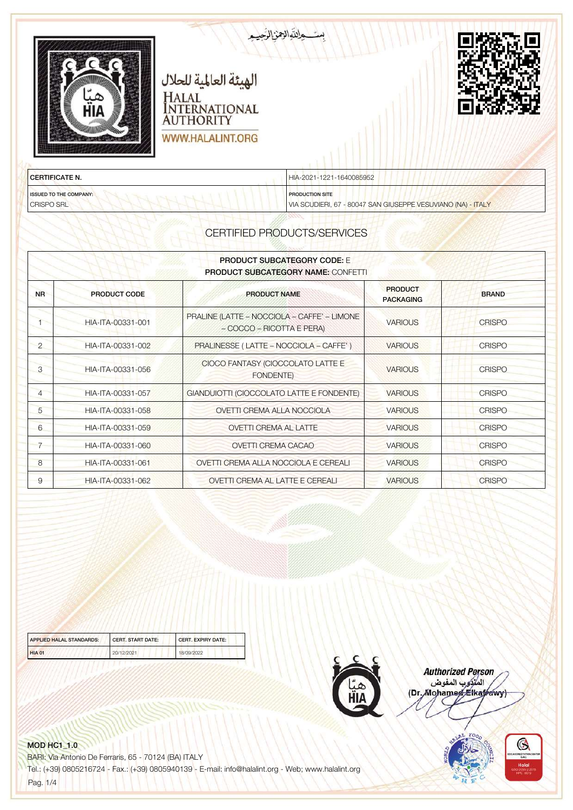| пін                           | الهيئة العالمية للحلال<br>HALAL<br><b>INTERNATIONAL</b><br><b>AUTHORITY</b> | بست والتواليمن الرحيم    |  |
|-------------------------------|-----------------------------------------------------------------------------|--------------------------|--|
| <b>CERTIFICATE N.</b>         | <b>WWW.HALALINT.ORG</b>                                                     | HIA-2021-1221-1640085952 |  |
| <b>ISSUED TO THE COMPANY:</b> | The Warranty of the American control of the                                 | <b>PRODUCTION SITE</b>   |  |

CRISPO SRL

PRODUCTION SITE

VIA SCUDIERI, 67 - 80047 SAN GIUSEPPE VESUVIANO (NA) - ITALY

# CERTIFIED PRODUCTS/SERVICES

| <b>PRODUCT SUBCATEGORY CODE:</b> E<br><b>PRODUCT SUBCATEGORY NAME: CONFETTI</b> |                     |                                                                          |                                    |               |
|---------------------------------------------------------------------------------|---------------------|--------------------------------------------------------------------------|------------------------------------|---------------|
| <b>NR</b>                                                                       | <b>PRODUCT CODE</b> | <b>PRODUCT NAME</b>                                                      | <b>PRODUCT</b><br><b>PACKAGING</b> | <b>BRAND</b>  |
|                                                                                 | HIA-ITA-00331-001   | PRALINE (LATTE - NOCCIOLA - CAFFE' - LIMONE<br>- COCCO - RICOTTA E PERA) | <b>VARIOUS</b>                     | <b>CRISPO</b> |
| $\overline{2}$                                                                  | HIA-ITA-00331-002   | PRALINESSE (LATTE - NOCCIOLA - CAFFE')                                   | <b>VARIOUS</b>                     | <b>CRISPO</b> |
| 3                                                                               | HIA-ITA-00331-056   | CIOCO FANTASY (CIOCCOLATO LATTE E<br><b>FONDENTE)</b>                    | <b>VARIOUS</b>                     | <b>CRISPO</b> |
| $\overline{4}$                                                                  | HIA-ITA-00331-057   | GIANDUIOTTI (CIOCCOLATO LATTE E FONDENTE)                                | <b>VARIOUS</b>                     | <b>CRISPO</b> |
| $\overline{5}$                                                                  | HIA-ITA-00331-058   | <b>OVETTI CREMA ALLA NOCCIOLA</b>                                        | <b>VARIOUS</b>                     | <b>CRISPO</b> |
| 6                                                                               | HIA-ITA-00331-059   | <b>OVETTI CREMA AL LATTE</b>                                             | <b>VARIOUS</b>                     | <b>CRISPO</b> |
|                                                                                 | HIA-ITA-00331-060   | <b>OVETTI CREMA CACAO</b>                                                | <b>VARIOUS</b>                     | <b>CRISPO</b> |
| 8                                                                               | HIA-ITA-00331-061   | OVETTI CREMA ALLA NOCCIOLA E CEREALI                                     | <b>VARIOUS</b>                     | <b>CRISPO</b> |
| 9                                                                               | HIA-ITA-00331-062   | OVETTI CREMA AL LATTE E CEREALI                                          | <b>VARIOUS</b>                     | <b>CRISPO</b> |

| <b>APPLIED HALAL STANDARDS:</b> | <b>CERT, START DATE:</b> | <b>CERT, EXPIRY DATE:</b> |
|---------------------------------|--------------------------|---------------------------|
| <b>HIA 01</b>                   | 20/12/2021               | 18/09/2022                |



**Authorized Person** namonica<br>المنزوب المفوض<br>(Dr. Mohamed Elkafrawy)



#### MOD HC1\_1.0

BARI: Via Antonio De Ferraris, 65 - 70124 (BA) ITALY

Tel.: (+39) 0805216724 - Fax.: (+39) 0805940139 - E-mail: info@halalint.org - Web; www.halalint.org

Pag. 1/4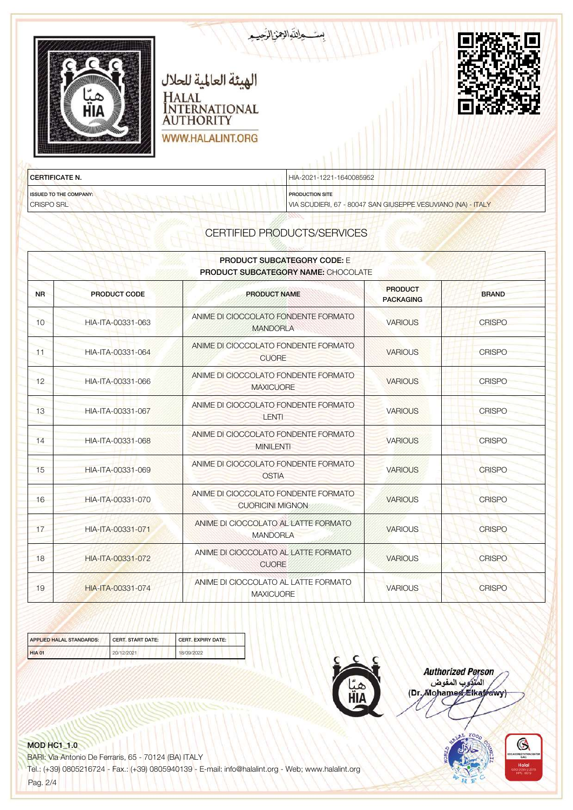| пін                   | بست والتواليمن الرحيب<br>الهيئة العالمية للحلال<br>HALAL<br>INTERNATIONAL<br><b>AUTHORITY</b><br><b>WWW.HALALINT.ORG</b> |  |
|-----------------------|--------------------------------------------------------------------------------------------------------------------------|--|
| <b>CERTIFICATE N.</b> | HIA-2021-1221-1640085952                                                                                                 |  |

ISSUED TO THE COMPANY: CRISPO SRL

PRODUCTION SITE

VIA SCUDIERI, 67 - 80047 SAN GIUSEPPE VESUVIANO (NA) - ITALY

# CERTIFIED PRODUCTS/SERVICES

| <b>PRODUCT SUBCATEGORY CODE: E</b><br><b>PRODUCT SUBCATEGORY NAME: CHOCOLATE</b> |                     |                                                                 |                                    |               |
|----------------------------------------------------------------------------------|---------------------|-----------------------------------------------------------------|------------------------------------|---------------|
| <b>NR</b>                                                                        | <b>PRODUCT CODE</b> | <b>PRODUCT NAME</b>                                             | <b>PRODUCT</b><br><b>PACKAGING</b> | <b>BRAND</b>  |
| 10                                                                               | HIA-ITA-00331-063   | ANIME DI CIOCCOLATO FONDENTE FORMATO<br><b>MANDORLA</b>         | <b>VARIOUS</b>                     | <b>CRISPO</b> |
| $-11$                                                                            | HIA-ITA-00331-064   | ANIME DI CIOCCOLATO FONDENTE FORMATO<br><b>CUORE</b>            | <b>VARIOUS</b>                     | <b>CRISPO</b> |
| 12                                                                               | HIA-ITA-00331-066   | ANIME DI CIOCCOLATO FONDENTE FORMATO<br><b>MAXICUORE</b>        | <b>VARIOUS</b>                     | <b>CRISPO</b> |
| 13                                                                               | HIA-ITA-00331-067   | ANIME DI CIOCCOLATO FONDENTE FORMATO<br><b>LENTI</b>            | <b>VARIOUS</b>                     | <b>CRISPO</b> |
| 14                                                                               | HIA-ITA-00331-068   | ANIME DI CIOCCOLATO FONDENTE FORMATO<br><b>MINILENTI</b>        | <b>VARIOUS</b>                     | <b>CRISPO</b> |
| 15                                                                               | HIA-ITA-00331-069   | ANIME DI CIOCCOLATO FONDENTE FORMATO<br><b>OSTIA</b>            | <b>VARIOUS</b>                     | <b>CRISPO</b> |
| 16                                                                               | HIA-ITA-00331-070   | ANIME DI CIOCCOLATO FONDENTE FORMATO<br><b>CUORICINI MIGNON</b> | <b>VARIOUS</b>                     | <b>CRISPO</b> |
| 17                                                                               | HIA-ITA-00331-071   | ANIME DI CIOCCOLATO AL LATTE FORMATO<br><b>MANDORLA</b>         | <b>VARIOUS</b>                     | <b>CRISPO</b> |
| 18                                                                               | HIA-ITA-00331-072   | ANIME DI CIOCCOLATO AL LATTE FORMATO<br><b>CUORE</b>            | <b>VARIOUS</b>                     | <b>CRISPO</b> |
| 19                                                                               | HIA-ITA-00331-074   | ANIME DI CIOCCOLATO AL LATTE FORMATO<br><b>MAXICUORE</b>        | <b>VARIOUS</b>                     | <b>CRISPO</b> |

| APPLIED HALAL STANDARDS: | CERT. START DATE: | <b>CERT, EXPIRY DATE:</b> |
|--------------------------|-------------------|---------------------------|
| <b>HIA 01</b>            | 20/12/2021        | 18/09/2022                |



**Authorized Person** namonica<br>المنزوب المفوض<br>(Dr. Mohamed Elkafrawy)



#### MOD HC1\_1.0

BARI: Via Antonio De Ferraris, 65 - 70124 (BA) ITALY

Tel.: (+39) 0805216724 - Fax.: (+39) 0805940139 - E-mail: info@halalint.org - Web; www.halalint.org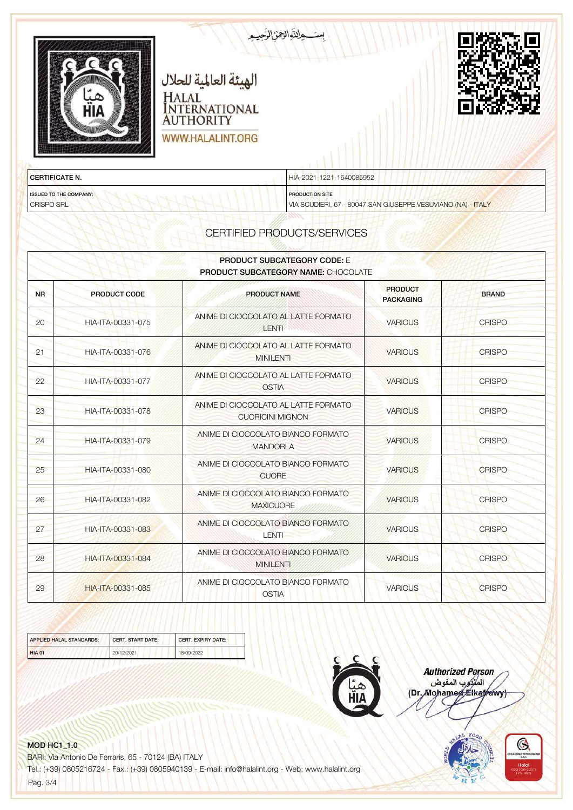| пін                           | الهيئة العالمية للحلال<br>HALAL<br>NTERNATIONAL<br><b>AUTHORITY</b><br><b>WWW.HALALINT.ORG</b> | ستحالقالهنالرجيم         |  |
|-------------------------------|------------------------------------------------------------------------------------------------|--------------------------|--|
| <b>CERTIFICATE N.</b>         |                                                                                                | HIA-2021-1221-1640085952 |  |
| <b>ISSUED TO THE COMPANY:</b> | The chair treatment treatment in the                                                           | <b>PRODUCTION SITE</b>   |  |

VIA SCUDIERI, 67 - 80047 SAN GIUSEPPE VESUVIANO (NA) - ITALY

CERTIFIED PRODUCTS/SERVICES

| <b>PRODUCT SUBCATEGORY CODE: E</b><br><b>PRODUCT SUBCATEGORY NAME: CHOCOLATE</b> |                     |                                                                 |                                    |               |
|----------------------------------------------------------------------------------|---------------------|-----------------------------------------------------------------|------------------------------------|---------------|
| <b>NR</b>                                                                        | <b>PRODUCT CODE</b> | <b>PRODUCT NAME</b>                                             | <b>PRODUCT</b><br><b>PACKAGING</b> | <b>BRAND</b>  |
| 20 <sup>°</sup>                                                                  | HIA-ITA-00331-075   | ANIME DI CIOCCOLATO AL LATTE FORMATO<br><b>LENTI</b>            | <b>VARIOUS</b>                     | <b>CRISPO</b> |
| 21                                                                               | HIA-ITA-00331-076   | ANIME DI CIOCCOLATO AL LATTE FORMATO<br><b>MINILENTI</b>        | <b>VARIOUS</b>                     | <b>CRISPO</b> |
| 22                                                                               | HIA-ITA-00331-077   | ANIME DI CIOCCOLATO AL LATTE FORMATO<br><b>OSTIA</b>            | <b>VARIOUS</b>                     | <b>CRISPO</b> |
| 23                                                                               | HIA-ITA-00331-078   | ANIME DI CIOCCOLATO AL LATTE FORMATO<br><b>CUORICINI MIGNON</b> | <b>VARIOUS</b>                     | <b>CRISPO</b> |
| 24                                                                               | HIA-ITA-00331-079   | ANIME DI CIOCCOLATO BIANCO FORMATO<br><b>MANDORLA</b>           | <b>VARIOUS</b>                     | <b>CRISPO</b> |
| 25                                                                               | HIA-ITA-00331-080   | ANIME DI CIOCCOLATO BIANCO FORMATO<br><b>CUORE</b>              | <b>VARIOUS</b>                     | <b>CRISPO</b> |
| 26                                                                               | HIA-ITA-00331-082   | ANIME DI CIOCCOLATO BIANCO FORMATO<br><b>MAXICUORE</b>          | <b>VARIOUS</b>                     | <b>CRISPO</b> |
| 27                                                                               | HIA-ITA-00331-083   | ANIME DI CIOCCOLATO BIANCO FORMATO<br><b>LENTI</b>              | <b>VARIOUS</b>                     | <b>CRISPO</b> |
| 28                                                                               | HIA-ITA-00331-084   | ANIME DI CIOCCOLATO BIANCO FORMATO<br><b>MINILENTI</b>          | <b>VARIOUS</b>                     | <b>CRISPO</b> |
| 29                                                                               | HIA-ITA-00331-085   | ANIME DI CIOCCOLATO BIANCO FORMATO<br><b>OSTIA</b>              | <b>VARIOUS</b>                     | <b>CRISPO</b> |

| APPLIED HALAL STANDARDS: | <b>CERT, START DATE:</b> | <b>CERT, EXPIRY DATE:</b> |
|--------------------------|--------------------------|---------------------------|
| <b>HIA 01</b>            | 20/12/2021               | 18/09/2022                |



**Authorized Person** namonica<br>المنزوب المفوض<br>(Dr. Mohamed Elkafrawy)

# MOD HC1\_1.0

CRISPO SRL

BARI: Via Antonio De Ferraris, 65 - 70124 (BA) ITALY

Tel.: (+39) 0805216724 - Fax.: (+39) 0805940139 - E-mail: info@halalint.org - Web; www.halalint.org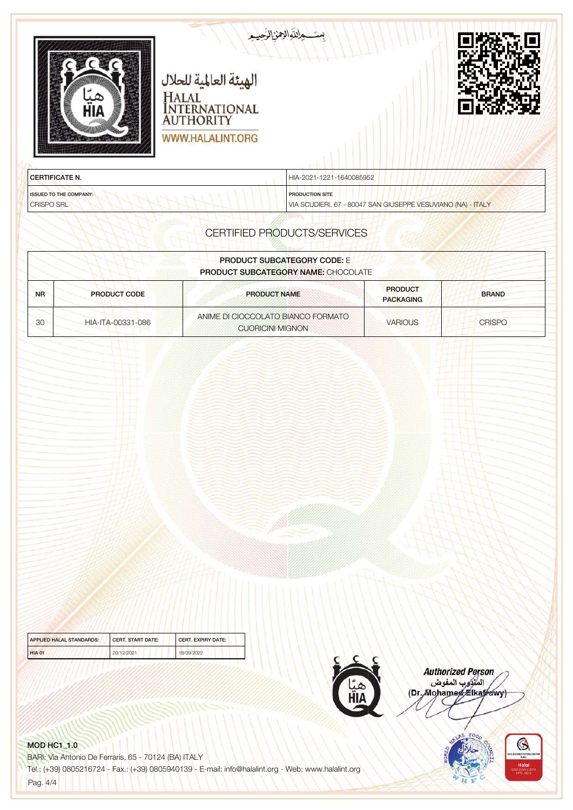|                                             | بتوالزمن الرصم<br>الهيئة العالمية للحلال<br>HALAL<br>INTERNATIONAL<br>AUTHORITY<br>WWW.HALALINT.ORG |                                                              |               |
|---------------------------------------------|-----------------------------------------------------------------------------------------------------|--------------------------------------------------------------|---------------|
| <b>CERTIFICATE N.</b>                       | HIA-2021-1221-1640085952                                                                            |                                                              |               |
| <b>ISSUED TO THE COMPANY:</b><br>CRISPO SRL | <b>PRODUCTION SITE</b>                                                                              | VIA SCUDIERI, 67 - 80047 SAN GIUSEPPE VESUVIANO (NA) - ITALY |               |
|                                             | CERTIFIED PRODUCTS/SERVICES                                                                         |                                                              |               |
|                                             | <b>PRODUCT SUBCATEGORY CODE: E</b>                                                                  |                                                              |               |
|                                             | PRODUCT SUBCATEGORY NAME: CHOCOLATE                                                                 |                                                              |               |
| <b>PRODUCT CODE</b><br><b>NR</b>            | <b>PRODUCT NAME</b>                                                                                 | <b>PRODUCT</b><br><b>PACKAGING</b>                           | <b>BRAND</b>  |
| 30<br>HIA-ITA-00331-086                     | ANIME DI CIOCCOLATO BIANCO FORMATO<br><b>CUORICINI MIGNON</b>                                       | <b>VARIOUS</b>                                               | <b>CRISPO</b> |
|                                             |                                                                                                     |                                                              |               |

| APPLIED HALAL STANDARDS: | <b>CERT, START DATE:</b> | <b>CERT, EXPIRY DATE:</b> |
|--------------------------|--------------------------|---------------------------|
| <b>HIA 01</b>            | 20/12/2021               | 18/09/2022                |



Authorized Person<br>الملكوب المفوض<br>(Dr. Mohamed Elkayawy)



## MOD HC1\_1.0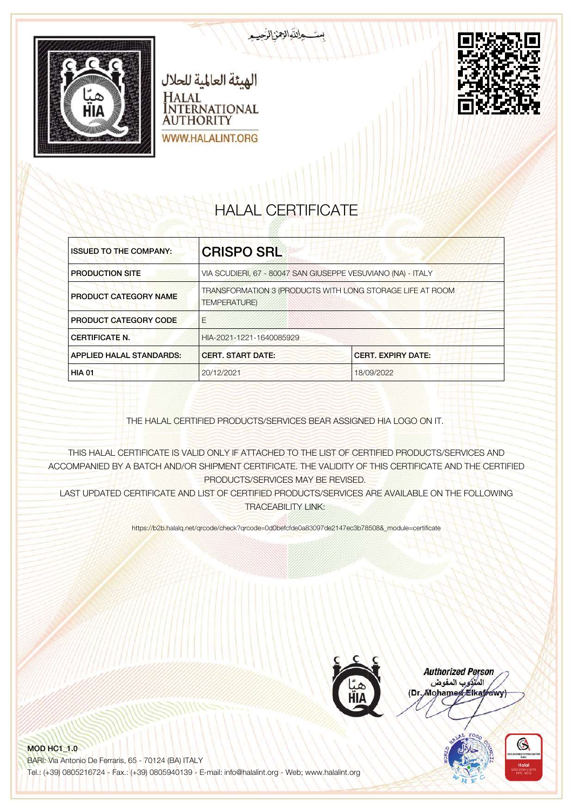





# HALAL CERTIFICATE

| <b>ISSUED TO THE COMPANY:</b>   | <b>CRISPO SRL</b>                                                                 |            |
|---------------------------------|-----------------------------------------------------------------------------------|------------|
| <b>PRODUCTION SITE</b>          | VIA SCUDIERI, 67 - 80047 SAN GIUSEPPE VESUVIANO (NA) - ITALY                      |            |
| PRODUCT CATEGORY NAME           | TRANSFORMATION 3 (PRODUCTS WITH LONG STORAGE LIFE AT ROOM<br><b>TEMPERATURE</b> ) |            |
| <b>PRODUCT CATEGORY CODE</b>    | F                                                                                 |            |
| <b>CERTIFICATE N.</b>           | HIA-2021-1221-1640085929                                                          |            |
| <b>APPLIED HALAL STANDARDS:</b> | <b>CERT. START DATE:</b><br><b>CERT. EXPIRY DATE:</b>                             |            |
| <b>HIA 01</b>                   | 20/12/2021                                                                        | 18/09/2022 |

THE HALAL CERTIFIED PRODUCTS/SERVICES BEAR ASSIGNED HIA LOGO ON IT.

THIS HALAL CERTIFICATE IS VALID ONLY IF ATTACHED TO THE LIST OF CERTIFIED PRODUCTS/SERVICES AND ACCOMPANIED BY A BATCH AND/OR SHIPMENT CERTIFICATE. THE VALIDITY OF THIS CERTIFICATE AND THE CERTIFIED PRODUCTS/SERVICES MAY BE REVISED.

LAST UPDATED CERTIFICATE AND LIST OF CERTIFIED PRODUCTS/SERVICES ARE AVAILABLE ON THE FOLLOWING TRACEABILITY LINK:

https://b2b.halalq.net/qrcode/check?qrcode=0d0befcfde0a83097de2147ec3b78508&\_module=certificate



**Authorized Person** المتركوب المفوض (Dr. Mohamed Elkatrawy)

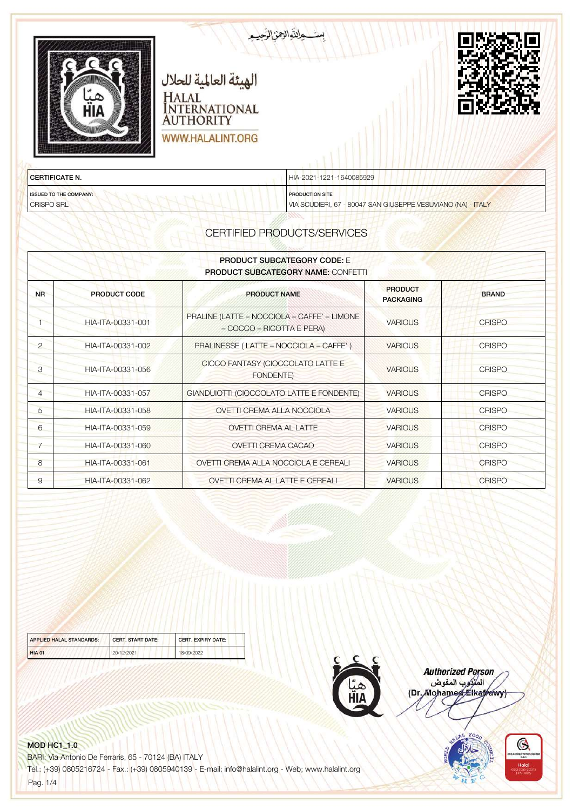| пін                           | الهيئة العالمية للحلال<br>HALAL<br><b>NTERNATIONAL</b><br><b>AUTHORITY</b><br>WWW.HALALINT.ORG | تحواللوالعن الرهيم       |  |
|-------------------------------|------------------------------------------------------------------------------------------------|--------------------------|--|
| <b>CERTIFICATE N.</b>         |                                                                                                | HIA-2021-1221-1640085929 |  |
| <b>ISSUED TO THE COMPANY:</b> | All Philadelphia and the company of the company of                                             | <b>PRODUCTION SITE</b>   |  |

VIA SCUDIERI, 67 - 80047 SAN GIUSEPPE VESUVIANO (NA) - ITALY

| <b>PRODUCT SUBCATEGORY CODE: E</b><br><b>PRODUCT SUBCATEGORY NAME: CONFETTI</b> |                     |                                                                          |                                    |               |
|---------------------------------------------------------------------------------|---------------------|--------------------------------------------------------------------------|------------------------------------|---------------|
| <b>NR</b>                                                                       | <b>PRODUCT CODE</b> | <b>PRODUCT NAME</b>                                                      | <b>PRODUCT</b><br><b>PACKAGING</b> | <b>BRAND</b>  |
|                                                                                 | HIA-ITA-00331-001   | PRALINE (LATTE - NOCCIOLA - CAFFE' - LIMONE<br>- COCCO - RICOTTA E PERA) | <b>VARIOUS</b>                     | <b>CRISPO</b> |
| $\overline{2}$                                                                  | HIA-ITA-00331-002   | PRALINESSE (LATTE - NOCCIOLA - CAFFE')                                   | <b>VARIOUS</b>                     | <b>CRISPO</b> |
| 3                                                                               | HIA-ITA-00331-056   | CIOCO FANTASY (CIOCCOLATO LATTE E<br><b>FONDENTE)</b>                    | <b>VARIOUS</b>                     | <b>CRISPO</b> |
| $\overline{4}$                                                                  | HIA-ITA-00331-057   | GIANDUIOTTI (CIOCCOLATO LATTE E FONDENTE)                                | <b>VARIOUS</b>                     | <b>CRISPO</b> |
| 5                                                                               | HIA-ITA-00331-058   | OVETTI CREMA ALLA NOCCIOLA                                               | <b>VARIOUS</b>                     | <b>CRISPO</b> |
| 6                                                                               | HIA-ITA-00331-059   | <b>OVETTI CREMA AL LATTE</b>                                             | <b>VARIOUS</b>                     | <b>CRISPO</b> |
| $\overline{7}$                                                                  | HIA-ITA-00331-060   | <b>OVETTI CREMA CACAO</b>                                                | <b>VARIOUS</b>                     | <b>CRISPO</b> |
| 8                                                                               | HIA-ITA-00331-061   | OVETTI CREMA ALLA NOCCIOLA E CEREALI                                     | <b>VARIOUS</b>                     | <b>CRISPO</b> |
| 9                                                                               | HIA-ITA-00331-062   | <b>OVETTI CREMA AL LATTE E CEREALI</b>                                   | <b>VARIOUS</b>                     | <b>CRISPO</b> |

| <b>APPLIED HALAL STANDARDS:</b> | <b>CERT, START DATE:</b><br><b>CERT, EXPIRY DATE:</b> |            |
|---------------------------------|-------------------------------------------------------|------------|
| <b>HIA 01</b>                   | 20/12/2021                                            | 18/09/2022 |



**Authorized Person** المتوجد المقوض<br>المتوجد المقوض<br>(Dr. Mohamed Elkafrawy)



#### MOD HC1\_1.0

CRISPO SRL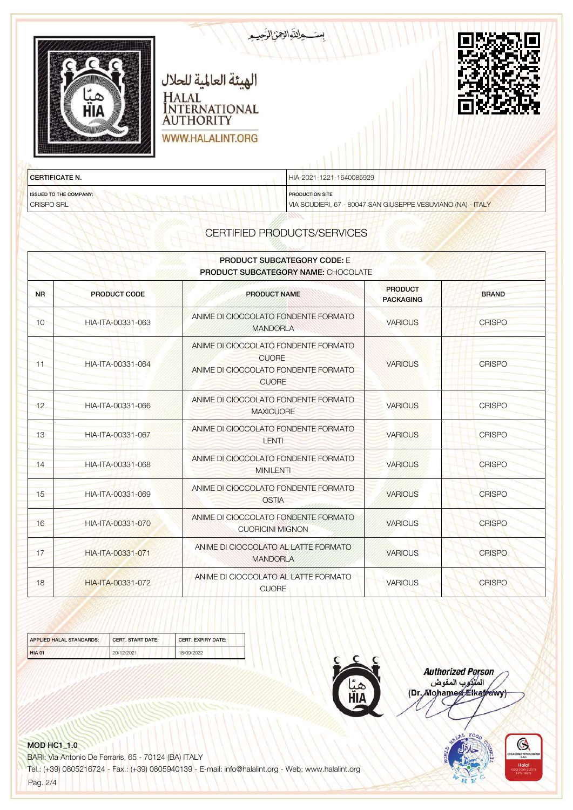| пін                           | الهيئة العالمية للحلال<br>HALAL<br><b>NTERNATIONAL</b><br><b>AUTHORITY</b><br>WWW.HALALINT.ORG | حالقالاتنالزهيم          |  |
|-------------------------------|------------------------------------------------------------------------------------------------|--------------------------|--|
| <b>CERTIFICATE N.</b>         |                                                                                                | HIA-2021-1221-1640085929 |  |
| <b>ISSUED TO THE COMPANY:</b> | The change to the first control of the                                                         | <b>PRODUCTION SITE</b>   |  |

VIA SCUDIERI, 67 - 80047 SAN GIUSEPPE VESUVIANO (NA) - ITALY

CERTIFIED PRODUCTS/SERVICES

| <b>PRODUCT SUBCATEGORY CODE: E</b><br>PRODUCT SUBCATEGORY NAME: CHOCOLATE |                     |                                                                                                              |                                    |               |
|---------------------------------------------------------------------------|---------------------|--------------------------------------------------------------------------------------------------------------|------------------------------------|---------------|
| <b>NR</b>                                                                 | <b>PRODUCT CODE</b> | <b>PRODUCT NAME</b>                                                                                          | <b>PRODUCT</b><br><b>PACKAGING</b> | <b>BRAND</b>  |
| 10                                                                        | HIA-ITA-00331-063   | ANIME DI CIOCCOLATO FONDENTE FORMATO<br><b>MANDORLA</b>                                                      | <b>VARIOUS</b>                     | <b>CRISPO</b> |
| 11                                                                        | HIA-ITA-00331-064   | ANIME DI CIOCCOLATO FONDENTE FORMATO<br><b>CUORE</b><br>ANIME DI CIOCCOLATO FONDENTE FORMATO<br><b>CUORE</b> | <b>VARIOUS</b>                     | <b>CRISPO</b> |
| 12                                                                        | HIA-ITA-00331-066   | ANIME DI CIOCCOLATO FONDENTE FORMATO<br><b>MAXICUORE</b>                                                     | <b>VARIOUS</b>                     | <b>CRISPO</b> |
| 13                                                                        | HIA-ITA-00331-067   | ANIME DI CIOCCOLATO FONDENTE FORMATO<br><b>LENTI</b>                                                         | <b>VARIOUS</b>                     | <b>CRISPO</b> |
| 14                                                                        | HIA-ITA-00331-068   | ANIME DI CIOCCOLATO FONDENTE FORMATO<br><b>MINILENTI</b>                                                     | <b>VARIOUS</b>                     | <b>CRISPO</b> |
| 15                                                                        | HIA-ITA-00331-069   | ANIME DI CIOCCOLATO FONDENTE FORMATO<br><b>OSTIA</b>                                                         | <b>VARIOUS</b>                     | <b>CRISPO</b> |
| 16                                                                        | HIA-ITA-00331-070   | ANIME DI CIOCCOLATO FONDENTE FORMATO<br><b>CUORICINI MIGNON</b>                                              | <b>VARIOUS</b>                     | <b>CRISPO</b> |
| 17                                                                        | HIA-ITA-00331-071   | ANIME DI CIOCCOLATO AL LATTE FORMATO<br><b>MANDORLA</b>                                                      | <b>VARIOUS</b>                     | <b>CRISPO</b> |
| 18                                                                        | HIA-ITA-00331-072   | ANIME DI CIOCCOLATO AL LATTE FORMATO<br><b>CUORE</b>                                                         | <b>VARIOUS</b>                     | <b>CRISPO</b> |

| APPLIED HALAL STANDARDS: | <b>CERT, START DATE:</b> | <b>CERT, EXPIRY DATE:</b> |  |
|--------------------------|--------------------------|---------------------------|--|
| <b>HIA 01</b>            | 20/12/2021               | 18/09/2022                |  |



**Authorized Person** المتكوب المفوض (Dr. Mohamed Elkatrawy)



#### MOD HC1\_1.0

CRISPO SRL

BARI: Via Antonio De Ferraris, 65 - 70124 (BA) ITALY

Tel.: (+39) 0805216724 - Fax.: (+39) 0805940139 - E-mail: info@halalint.org - Web; www.halalint.org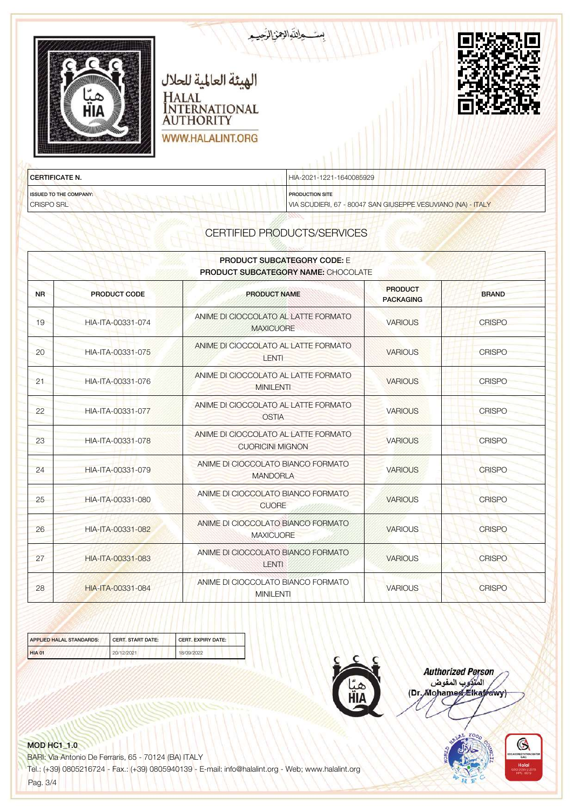| пін                           | الهيئة العالمية للحلال<br>HALAL<br><b>NTERNATIONAL</b><br><b>AUTHORITY</b><br><b>WWW.HALALINT.ORG</b> | تسمالتهالزمن الرحيم      |  |
|-------------------------------|-------------------------------------------------------------------------------------------------------|--------------------------|--|
| <b>CERTIFICATE N.</b>         |                                                                                                       | HIA-2021-1221-1640085929 |  |
| <b>ISSUED TO THE COMPANY:</b> | The chair territory and the high-                                                                     | <b>PRODUCTION SITE</b>   |  |

VIA SCUDIERI, 67 - 80047 SAN GIUSEPPE VESUVIANO (NA) - ITALY

| <b>PRODUCT SUBCATEGORY CODE: E</b><br><b>PRODUCT SUBCATEGORY NAME: CHOCOLATE</b> |                     |                                                                 |                                    |               |
|----------------------------------------------------------------------------------|---------------------|-----------------------------------------------------------------|------------------------------------|---------------|
| <b>NR</b>                                                                        | <b>PRODUCT CODE</b> | <b>PRODUCT NAME</b>                                             | <b>PRODUCT</b><br><b>PACKAGING</b> | <b>BRAND</b>  |
| 19                                                                               | HIA-ITA-00331-074   | ANIME DI CIOCCOLATO AL LATTE FORMATO<br><b>MAXICUORE</b>        | <b>VARIOUS</b>                     | <b>CRISPO</b> |
| 20                                                                               | HIA-ITA-00331-075   | ANIME DI CIOCCOLATO AL LATTE FORMATO<br>LENTI                   | <b>VARIOUS</b>                     | <b>CRISPO</b> |
| 21                                                                               | HIA-ITA-00331-076   | ANIME DI CIOCCOLATO AL LATTE FORMATO<br><b>MINILENTI</b>        | <b>VARIOUS</b>                     | <b>CRISPO</b> |
| 22                                                                               | HIA-ITA-00331-077   | ANIME DI CIOCCOLATO AL LATTE FORMATO<br><b>OSTIA</b>            | <b>VARIOUS</b>                     | <b>CRISPO</b> |
| 23                                                                               | HIA-ITA-00331-078   | ANIME DI CIOCCOLATO AL LATTE FORMATO<br><b>CUORICINI MIGNON</b> | <b>VARIOUS</b>                     | <b>CRISPO</b> |
| 24                                                                               | HIA-ITA-00331-079   | ANIME DI CIOCCOLATO BIANCO FORMATO<br><b>MANDORLA</b>           | <b>VARIOUS</b>                     | <b>CRISPO</b> |
| 25                                                                               | HIA-ITA-00331-080   | ANIME DI CIOCCOLATO BIANCO FORMATO<br><b>CUORE</b>              | <b>VARIOUS</b>                     | <b>CRISPO</b> |
| 26                                                                               | HIA-ITA-00331-082   | ANIME DI CIOCCOLATO BIANCO FORMATO<br><b>MAXICUORE</b>          | <b>VARIOUS</b>                     | <b>CRISPO</b> |
| 27                                                                               | HIA-ITA-00331-083   | ANIME DI CIOCCOLATO BIANCO FORMATO<br><b>LENTI</b>              | <b>VARIOUS</b>                     | <b>CRISPO</b> |
| 28                                                                               | HIA-ITA-00331-084   | ANIME DI CIOCCOLATO BIANCO FORMATO<br><b>MINILENTI</b>          | <b>VARIOUS</b>                     | <b>CRISPO</b> |

| APPLIED HALAL STANDARDS: | <b>CERT, START DATE:</b> | <b>CERT, EXPIRY DATE:</b> |
|--------------------------|--------------------------|---------------------------|
| <b>HIA 01</b>            | 20/12/2021               | 18/09/2022                |



**Authorized Person** namonica<br>المنزوب المفوض<br>(Dr. Mohamed Elkafrawy)

### MOD HC1\_1.0

CRISPO SRL

BARI: Via Antonio De Ferraris, 65 - 70124 (BA) ITALY

Tel.: (+39) 0805216724 - Fax.: (+39) 0805940139 - E-mail: info@halalint.org - Web; www.halalint.org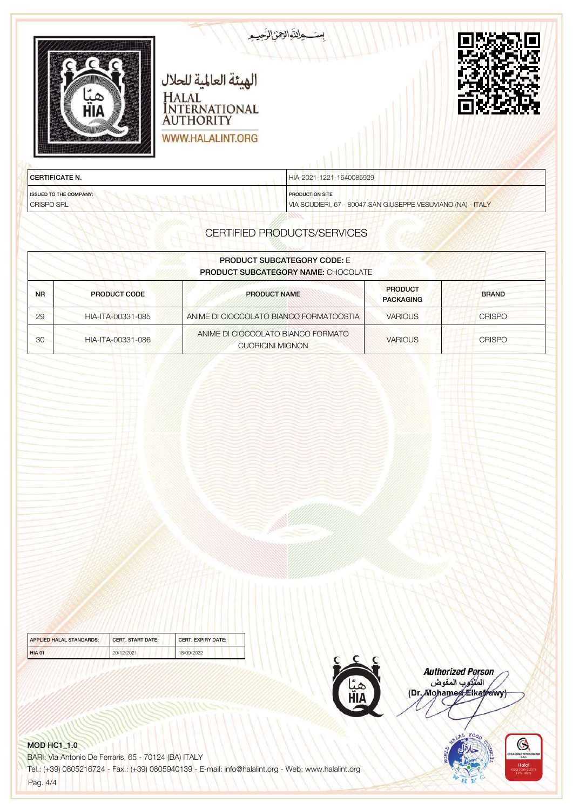| пін                   | متعاللهالعنالزمي<br>الهيئة العالمية للحلال<br>HALAL<br>INTERNATIONAL<br><b>AUTHORITY</b><br><b>WWW.HALALINT.ORG</b> |  |
|-----------------------|---------------------------------------------------------------------------------------------------------------------|--|
| <b>CERTIFICATE N.</b> | HIA-2021-1221-1640085929                                                                                            |  |

ISSUED TO THE COMPANY: CRISPO SRL

PRODUCTION SITE

VIA SCUDIERI, 67 - 80047 SAN GIUSEPPE VESUVIANO (NA) - ITALY

# CERTIFIED PRODUCTS/SERVICES

| <b>PRODUCT SUBCATEGORY CODE:</b> E<br><b>PRODUCT SUBCATEGORY NAME: CHOCOLATE</b> |                     |                                                               |                                    |               |
|----------------------------------------------------------------------------------|---------------------|---------------------------------------------------------------|------------------------------------|---------------|
| <b>NR</b>                                                                        | <b>PRODUCT CODE</b> | <b>PRODUCT NAME</b>                                           | <b>PRODUCT</b><br><b>PACKAGING</b> | <b>BRAND</b>  |
| 29                                                                               | HIA-ITA-00331-085   | ANIME DI CIOCCOLATO BIANCO FORMATOOSTIA                       | <b>VARIOUS</b>                     | <b>CRISPO</b> |
| 30                                                                               | HIA-ITA-00331-086   | ANIME DI CIOCCOLATO BIANCO FORMATO<br><b>CUORICINI MIGNON</b> | <b>VARIOUS</b>                     | <b>CRISPO</b> |

| APPLIED HALAL STANDARDS: | <b>CERT, START DATE:</b> | <b>CERT, EXPIRY DATE:</b> |
|--------------------------|--------------------------|---------------------------|
| <b>HIA 01</b>            | 20/12/2021               | 18/09/2022                |



**Authorized Person** المتوجد المقوض<br>المتوجد المقوض<br>(Dr. Mohamed Elkafrawy)



### MOD HC1\_1.0

BARI: Via Antonio De Ferraris, 65 - 70124 (BA) ITALY Tel.: (+39) 0805216724 - Fax.: (+39) 0805940139 - E-mail: info@halalint.org - Web; www.halalint.org

Pag. 4/4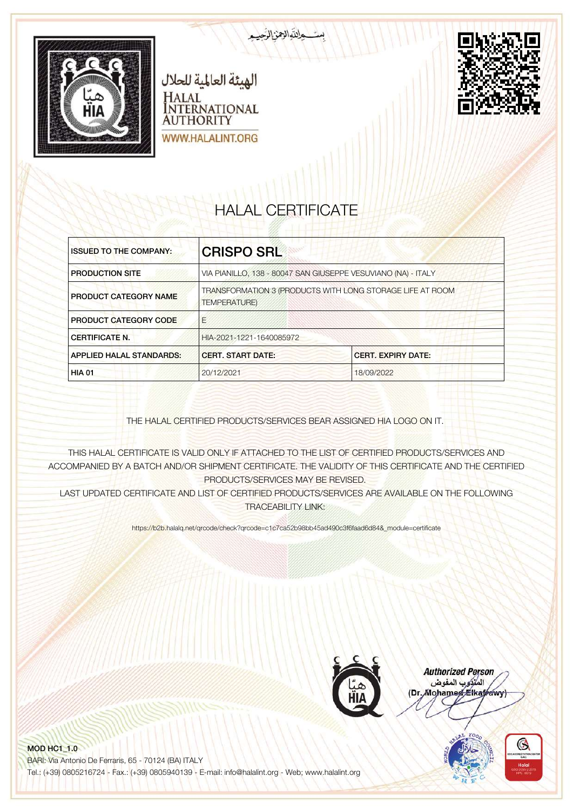



# HALAL CERTIFICATE

بالتوالزهن الرجي

| <b>ISSUED TO THE COMPANY:</b>   | <b>CRISPO SRL</b>                                                                |                                                               |
|---------------------------------|----------------------------------------------------------------------------------|---------------------------------------------------------------|
| <b>PRODUCTION SITE</b>          |                                                                                  | VIA PIANILLO, 138 - 80047 SAN GIUSEPPE VESUVIANO (NA) - ITALY |
| <b>PRODUCT CATEGORY NAME</b>    | TRANSFORMATION 3 (PRODUCTS WITH LONG STORAGE LIFE AT ROOM<br><b>TEMPERATURE)</b> |                                                               |
| <b>PRODUCT CATEGORY CODE</b>    | F                                                                                |                                                               |
| <b>CERTIFICATE N.</b>           | HIA-2021-1221-1640085972                                                         |                                                               |
| <b>APPLIED HALAL STANDARDS:</b> | <b>CERT. START DATE:</b><br><b>CERT. EXPIRY DATE:</b>                            |                                                               |
| <b>HIA 01</b>                   | 20/12/2021                                                                       | 18/09/2022                                                    |

THE HALAL CERTIFIED PRODUCTS/SERVICES BEAR ASSIGNED HIA LOGO ON IT.

THIS HALAL CERTIFICATE IS VALID ONLY IF ATTACHED TO THE LIST OF CERTIFIED PRODUCTS/SERVICES AND ACCOMPANIED BY A BATCH AND/OR SHIPMENT CERTIFICATE. THE VALIDITY OF THIS CERTIFICATE AND THE CERTIFIED PRODUCTS/SERVICES MAY BE REVISED.

LAST UPDATED CERTIFICATE AND LIST OF CERTIFIED PRODUCTS/SERVICES ARE AVAILABLE ON THE FOLLOWING TRACEABILITY LINK:

https://b2b.halalq.net/qrcode/check?qrcode=c1c7ca52b98bb45ad490c3f6faad6d84&\_module=certificate



**Authorized Person** المتركوب المفوض (Dr. Mohamed Elkatrawy)

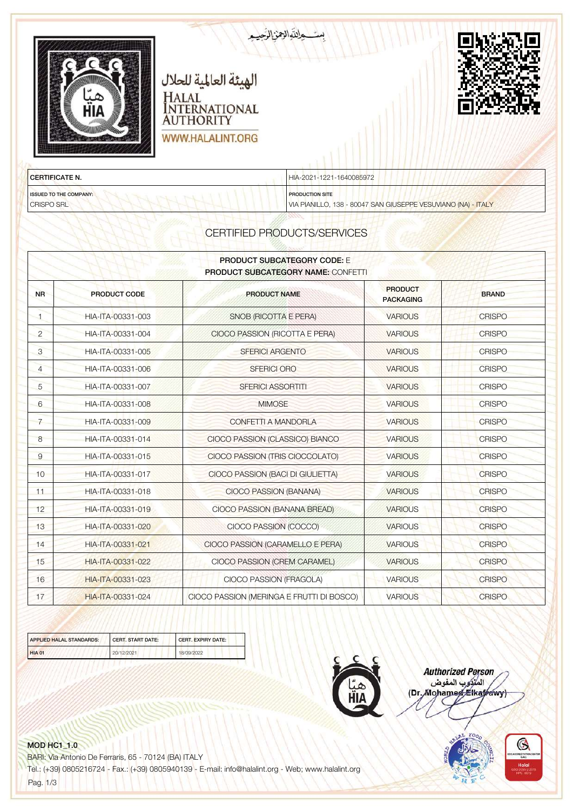| الهيئة العالمية للحلال<br>HALAL<br>INTERNATIONAL<br>пін<br><b>AUTHORITY</b><br>WWW.HALALINT.ORG | بست والتوالامن الزّعيب   |  |
|-------------------------------------------------------------------------------------------------|--------------------------|--|
| <b>CERTIFICATE N.</b>                                                                           | HIA-2021-1221-1640085972 |  |
| <b>ISSUED TO THE COMPANY:</b><br><b>Book and a find</b>                                         | <b>PRODUCTION SITE</b>   |  |

VIA PIANILLO, 138 - 80047 SAN GIUSEPPE VESUVIANO (NA) - ITALY

| <b>PRODUCT SUBCATEGORY CODE:</b> E<br><b>PRODUCT SUBCATEGORY NAME: CONFETTI</b> |                     |                                           |                                    |               |
|---------------------------------------------------------------------------------|---------------------|-------------------------------------------|------------------------------------|---------------|
| <b>NR</b>                                                                       | <b>PRODUCT CODE</b> | <b>PRODUCT NAME</b>                       | <b>PRODUCT</b><br><b>PACKAGING</b> | <b>BRAND</b>  |
| $\blacksquare$                                                                  | HIA-ITA-00331-003   | SNOB (RICOTTA E PERA)                     | <b>VARIOUS</b>                     | <b>CRISPO</b> |
| $\overline{2}$                                                                  | HIA-ITA-00331-004   | CIOCO PASSION (RICOTTA E PERA)            | <b>VARIOUS</b>                     | <b>CRISPO</b> |
| 3                                                                               | HIA-ITA-00331-005   | <b>SFERICI ARGENTO</b>                    | <b>VARIOUS</b>                     | <b>CRISPO</b> |
| $\overline{4}$                                                                  | HIA-ITA-00331-006   | <b>SFERICI ORO</b>                        | <b>VARIOUS</b>                     | <b>CRISPO</b> |
| 5                                                                               | HIA-ITA-00331-007   | <b>SFERICI ASSORTITI</b>                  | <b>VARIOUS</b>                     | <b>CRISPO</b> |
| 6                                                                               | HIA-ITA-00331-008   | <b>MIMOSE</b>                             | <b>VARIOUS</b>                     | <b>CRISPO</b> |
| $\overline{7}$                                                                  | HIA-ITA-00331-009   | CONFETTI A MANDORLA                       | <b>VARIOUS</b>                     | <b>CRISPO</b> |
| 8                                                                               | HIA-ITA-00331-014   | CIOCO PASSION (CLASSICO) BIANCO           | <b>VARIOUS</b>                     | <b>CRISPO</b> |
| $\overline{9}$                                                                  | HIA-ITA-00331-015   | CIOCO PASSION (TRIS CIOCCOLATO)           | <b>VARIOUS</b>                     | <b>CRISPO</b> |
| 10                                                                              | HIA-ITA-00331-017   | CIOCO PASSION (BACI DI GIULIETTA)         | <b>VARIOUS</b>                     | <b>CRISPO</b> |
| 11                                                                              | HIA-ITA-00331-018   | CIOCO PASSION (BANANA)                    | <b>VARIOUS</b>                     | <b>CRISPO</b> |
| 12                                                                              | HIA-ITA-00331-019   | CIOCO PASSION (BANANA BREAD)              | <b>VARIOUS</b>                     | <b>CRISPO</b> |
| 13                                                                              | HIA-ITA-00331-020   | CIOCO PASSION (COCCO)                     | <b>VARIOUS</b>                     | <b>CRISPO</b> |
| 14                                                                              | HIA-ITA-00331-021   | CIOCO PASSION (CARAMELLO E PERA)          | <b>VARIOUS</b>                     | <b>CRISPO</b> |
| 15                                                                              | HIA-ITA-00331-022   | CIOCO PASSION (CREM CARAMEL)              | <b>VARIOUS</b>                     | <b>CRISPO</b> |
| 16                                                                              | HIA-ITA-00331-023   | CIOCO PASSION (FRAGOLA)                   | <b>VARIOUS</b>                     | <b>CRISPO</b> |
| 17                                                                              | HIA-ITA-00331-024   | CIOCO PASSION (MERINGA E FRUTTI DI BOSCO) | <b>VARIOUS</b>                     | <b>CRISPO</b> |

| <b>APPLIED HALAL STANDARDS:</b> | <b>CERT, START DATE:</b> | <b>CERT, EXPIRY DATE:</b> |
|---------------------------------|--------------------------|---------------------------|
| <b>HIA 01</b>                   | 20/12/2021               | 18/09/2022                |



**Authorized Person** المتوجد المقوض<br>المتوجد المقوض<br>(Dr. Mohamed Elkafrawy)



### MOD HC1\_1.0

CRISPO SRL

BARI: Via Antonio De Ferraris, 65 - 70124 (BA) ITALY

Tel.: (+39) 0805216724 - Fax.: (+39) 0805940139 - E-mail: info@halalint.org - Web; www.halalint.org

Pag. 1/3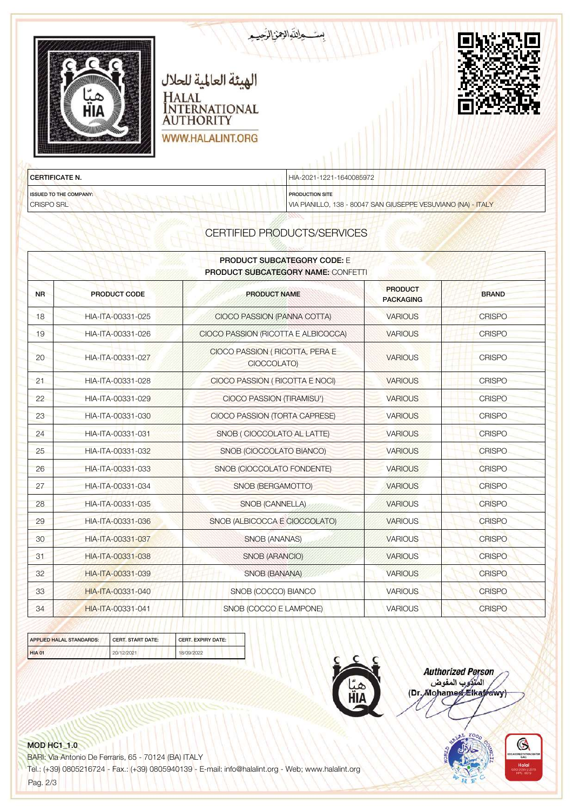

| <b>PRODUCT SUBCATEGORY CODE: E</b><br><b>PRODUCT SUBCATEGORY NAME: CONFETTI</b> |                     |                                               |                                    |               |
|---------------------------------------------------------------------------------|---------------------|-----------------------------------------------|------------------------------------|---------------|
| <b>NR</b>                                                                       | <b>PRODUCT CODE</b> | <b>PRODUCT NAME</b>                           | <b>PRODUCT</b><br><b>PACKAGING</b> | <b>BRAND</b>  |
| 18                                                                              | HIA-ITA-00331-025   | CIOCO PASSION (PANNA COTTA)                   | <b>VARIOUS</b>                     | <b>CRISPO</b> |
| 19                                                                              | HIA-ITA-00331-026   | CIOCO PASSION (RICOTTA E ALBICOCCA)           | <b>VARIOUS</b>                     | <b>CRISPO</b> |
| 20                                                                              | HIA-ITA-00331-027   | CIOCO PASSION (RICOTTA, PERA E<br>CIOCCOLATO) | <b>VARIOUS</b>                     | <b>CRISPO</b> |
| 21                                                                              | HIA-ITA-00331-028   | CIOCO PASSION (RICOTTA E NOCI)                | <b>VARIOUS</b>                     | <b>CRISPO</b> |
| 22                                                                              | HIA-ITA-00331-029   | CIOCO PASSION (TIRAMISU')                     | <b>VARIOUS</b>                     | <b>CRISPO</b> |
| 23                                                                              | HIA-ITA-00331-030   | CIOCO PASSION (TORTA CAPRESE)                 | <b>VARIOUS</b>                     | <b>CRISPO</b> |
| 24                                                                              | HIA-ITA-00331-031   | SNOB (CIOCCOLATO AL LATTE)                    | <b>VARIOUS</b>                     | <b>CRISPO</b> |
| 25                                                                              | HIA-ITA-00331-032   | SNOB (CIOCCOLATO BIANCO)                      | <b>VARIOUS</b>                     | <b>CRISPO</b> |
| 26                                                                              | HIA-ITA-00331-033   | SNOB (CIOCCOLATO FONDENTE)                    | <b>VARIOUS</b>                     | <b>CRISPO</b> |
| 27                                                                              | HIA-ITA-00331-034   | SNOB (BERGAMOTTO)                             | <b>VARIOUS</b>                     | <b>CRISPO</b> |
| 28                                                                              | HIA-ITA-00331-035   | SNOB (CANNELLA)                               | <b>VARIOUS</b>                     | <b>CRISPO</b> |
| 29                                                                              | HIA-ITA-00331-036   | SNOB (ALBICOCCA E CIOCCOLATO)                 | <b>VARIOUS</b>                     | <b>CRISPO</b> |
| 30                                                                              | HIA-ITA-00331-037   | <b>SNOB (ANANAS)</b>                          | <b>VARIOUS</b>                     | <b>CRISPO</b> |
| 31                                                                              | HIA-ITA-00331-038   | SNOB (ARANCIO)                                | <b>VARIOUS</b>                     | <b>CRISPO</b> |
| 32                                                                              | HIA-ITA-00331-039   | SNOB (BANANA)                                 | <b>VARIOUS</b>                     | <b>CRISPO</b> |
| 33                                                                              | HIA-ITA-00331-040   | SNOB (COCCO) BIANCO                           | <b>VARIOUS</b>                     | <b>CRISPO</b> |
| 34                                                                              | HIA-ITA-00331-041   | SNOB (COCCO E LAMPONE)                        | <b>VARIOUS</b>                     | <b>CRISPO</b> |





**Authorized Person** المتوكرب المفوض (Dr. Mohamed Elkatrawy)



#### **MOD HC1\_1.0**

BARI: Via Antonio De Ferraris, 65 - 70124 (BA) ITALY

Tel.: (+39) 0805216724 - Fax.: (+39) 0805940139 - E-mail: info@halalint.org - Web; www.halalint.org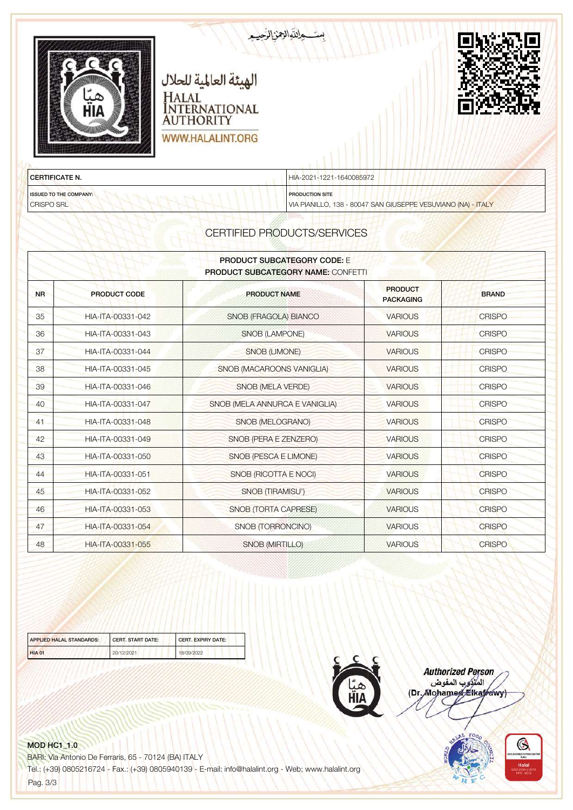| الهيئة العالمية للحلال<br>HALAL<br><b>NTERNATIONAL</b><br>пін<br><b>AUTHORITY</b><br>WWW.HALALINT.ORG | ستعاللهالهن الرهيم       |
|-------------------------------------------------------------------------------------------------------|--------------------------|
| <b>CERTIFICATE N.</b>                                                                                 | HIA-2021-1221-1640085972 |
| <b>ISSUED TO THE COMPANY:</b>                                                                         | <b>PRODUCTION SITE</b>   |

CRISPO SRL

PRODUCTION SITE

VIA PIANILLO, 138 - 80047 SAN GIUSEPPE VESUVIANO (NA) - ITALY

# CERTIFIED PRODUCTS/SERVICES

| <b>PRODUCT SUBCATEGORY CODE: F</b><br><b>PRODUCT SUBCATEGORY NAME: CONFETTI</b> |                     |                                |                                    |               |
|---------------------------------------------------------------------------------|---------------------|--------------------------------|------------------------------------|---------------|
| <b>NR</b>                                                                       | <b>PRODUCT CODE</b> | <b>PRODUCT NAME</b>            | <b>PRODUCT</b><br><b>PACKAGING</b> | <b>BRAND</b>  |
| 35                                                                              | HIA-ITA-00331-042   | SNOB (FRAGOLA) BIANCO          | <b>VARIOUS</b>                     | <b>CRISPO</b> |
| 36                                                                              | HIA-ITA-00331-043   | <b>SNOB (LAMPONE)</b>          | <b>VARIOUS</b>                     | <b>CRISPO</b> |
| 37                                                                              | HIA-ITA-00331-044   | <b>SNOB (LIMONE)</b>           | <b>VARIOUS</b>                     | <b>CRISPO</b> |
| 38                                                                              | HIA-ITA-00331-045   | SNOB (MACAROONS VANIGLIA)      | <b>VARIOUS</b>                     | <b>CRISPO</b> |
| 39                                                                              | HIA-ITA-00331-046   | <b>SNOB (MELA VERDE)</b>       | <b>VARIOUS</b>                     | <b>CRISPO</b> |
| 40                                                                              | HIA-ITA-00331-047   | SNOB (MELA ANNURCA E VANIGLIA) | <b>VARIOUS</b>                     | <b>CRISPO</b> |
| 41                                                                              | HIA-ITA-00331-048   | SNOB (MELOGRANO)               | <b>VARIOUS</b>                     | <b>CRISPO</b> |
| 42                                                                              | HIA-ITA-00331-049   | SNOB (PERA E ZENZERO)          | <b>VARIOUS</b>                     | <b>CRISPO</b> |
| 43                                                                              | HIA-ITA-00331-050   | SNOB (PESCA E LIMONE)          | <b>VARIOUS</b>                     | <b>CRISPO</b> |
| 44                                                                              | HIA-ITA-00331-051   | SNOB (RICOTTA E NOCI)          | <b>VARIOUS</b>                     | <b>CRISPO</b> |
| 45                                                                              | HIA-ITA-00331-052   | <b>SNOB (TIRAMISU')</b>        | <b>VARIOUS</b>                     | <b>CRISPO</b> |
| 46                                                                              | HIA-ITA-00331-053   | SNOB (TORTA CAPRESE)           | <b>VARIOUS</b>                     | <b>CRISPO</b> |
| 47                                                                              | HIA-ITA-00331-054   | <b>SNOB (TORRONCINO)</b>       | <b>VARIOUS</b>                     | <b>CRISPO</b> |
| 48                                                                              | HIA-ITA-00331-055   | <b>SNOB (MIRTILLO)</b>         | <b>VARIOUS</b>                     | <b>CRISPO</b> |

| APPLIED HALAL STANDARDS: | <b>CERT, START DATE:</b> | <b>CERT, EXPIRY DATE:</b> |  |
|--------------------------|--------------------------|---------------------------|--|
| <b>HIA 01</b>            | 20/12/2021               | 18/09/2022                |  |



**Authorized Person** namonica<br>المنزوب المفوض<br>(Dr. Mohamed Elkafrawy)



#### MOD HC1\_1.0

BARI: Via Antonio De Ferraris, 65 - 70124 (BA) ITALY Tel.: (+39) 0805216724 - Fax.: (+39) 0805940139 - E-mail: info@halalint.org - Web; www.halalint.org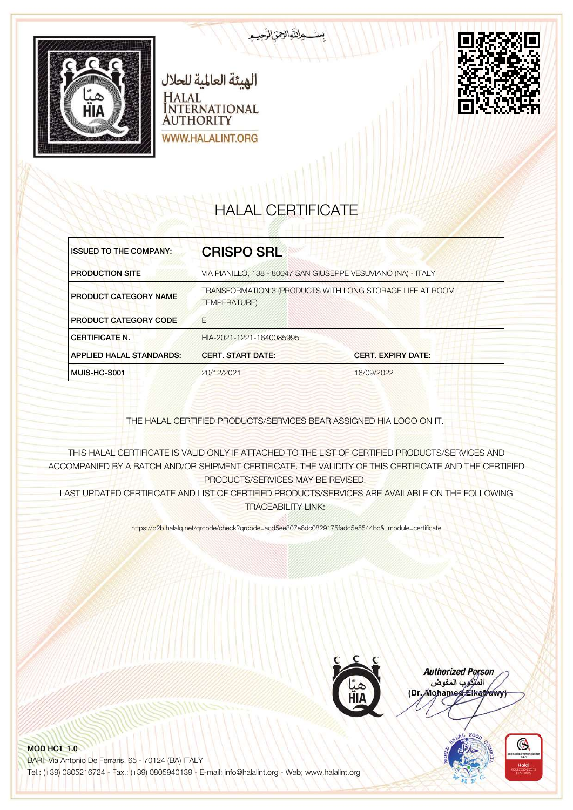



# HALAL CERTIFICATE

التوالينالرج

| <b>ISSUED TO THE COMPANY:</b>   | <b>CRISPO SRL</b>                                                                |                                                               |
|---------------------------------|----------------------------------------------------------------------------------|---------------------------------------------------------------|
| <b>PRODUCTION SITE</b>          |                                                                                  | VIA PIANILLO, 138 - 80047 SAN GIUSEPPE VESUVIANO (NA) - ITALY |
| <b>PRODUCT CATEGORY NAME</b>    | TRANSFORMATION 3 (PRODUCTS WITH LONG STORAGE LIFE AT ROOM<br><b>TEMPERATURE)</b> |                                                               |
| <b>PRODUCT CATEGORY CODE</b>    | F                                                                                |                                                               |
| <b>CERTIFICATE N.</b>           | HIA-2021-1221-1640085995                                                         |                                                               |
| <b>APPLIED HALAL STANDARDS:</b> | <b>CERT. START DATE:</b><br><b>CERT. EXPIRY DATE:</b>                            |                                                               |
| MUIS-HC-S001                    | 20/12/2021                                                                       | 18/09/2022                                                    |

THE HALAL CERTIFIED PRODUCTS/SERVICES BEAR ASSIGNED HIA LOGO ON IT.

THIS HALAL CERTIFICATE IS VALID ONLY IF ATTACHED TO THE LIST OF CERTIFIED PRODUCTS/SERVICES AND ACCOMPANIED BY A BATCH AND/OR SHIPMENT CERTIFICATE. THE VALIDITY OF THIS CERTIFICATE AND THE CERTIFIED PRODUCTS/SERVICES MAY BE REVISED.

LAST UPDATED CERTIFICATE AND LIST OF CERTIFIED PRODUCTS/SERVICES ARE AVAILABLE ON THE FOLLOWING TRACEABILITY LINK:

https://b2b.halalq.net/qrcode/check?qrcode=acd5ee807e6dc0829175fadc5e5544bc&\_module=certificate



**Authorized Person** المتركوب المفوض (Dr. Mohamed Elkatrawy)

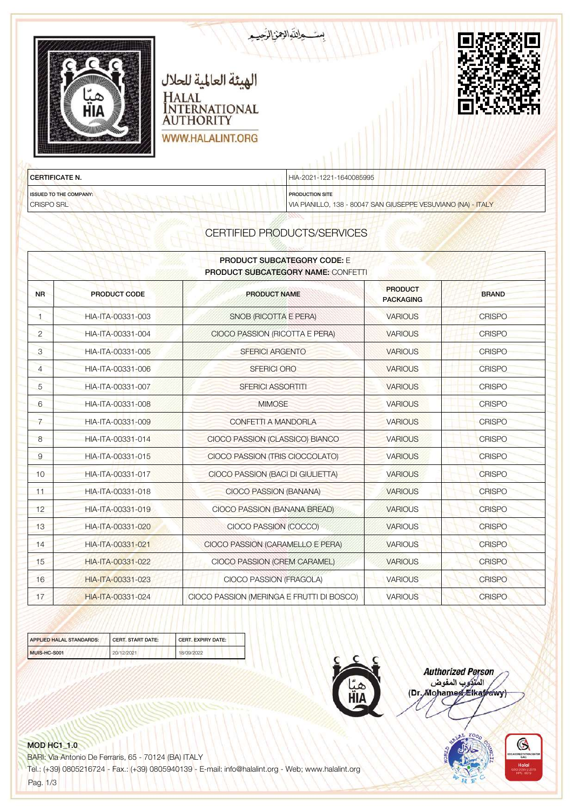| الهيئة العالمية للحلال<br>HALAL<br>INTERNATIONAL<br>пін<br><b>AUTHORITY</b><br>WWW.HALALINT.ORG | بست والتوالامن الزّعيب   |  |
|-------------------------------------------------------------------------------------------------|--------------------------|--|
| <b>CERTIFICATE N.</b>                                                                           | HIA-2021-1221-1640085995 |  |
| <b>ISSUED TO THE COMPANY:</b><br><b>Beach a street and the first officers</b>                   | <b>PRODUCTION SITE</b>   |  |

VIA PIANILLO, 138 - 80047 SAN GIUSEPPE VESUVIANO (NA) - ITALY

| <b>PRODUCT SUBCATEGORY CODE:</b> E<br><b>PRODUCT SUBCATEGORY NAME: CONFETTI</b> |                     |                                           |                                    |               |
|---------------------------------------------------------------------------------|---------------------|-------------------------------------------|------------------------------------|---------------|
| <b>NR</b>                                                                       | <b>PRODUCT CODE</b> | <b>PRODUCT NAME</b>                       | <b>PRODUCT</b><br><b>PACKAGING</b> | <b>BRAND</b>  |
| $\blacksquare$                                                                  | HIA-ITA-00331-003   | SNOB (RICOTTA E PERA)                     | <b>VARIOUS</b>                     | <b>CRISPO</b> |
| $\overline{2}$                                                                  | HIA-ITA-00331-004   | CIOCO PASSION (RICOTTA E PERA)            | <b>VARIOUS</b>                     | <b>CRISPO</b> |
| 3                                                                               | HIA-ITA-00331-005   | <b>SFERICI ARGENTO</b>                    | <b>VARIOUS</b>                     | <b>CRISPO</b> |
| $\overline{4}$                                                                  | HIA-ITA-00331-006   | <b>SFERICI ORO</b>                        | <b>VARIOUS</b>                     | <b>CRISPO</b> |
| 5                                                                               | HIA-ITA-00331-007   | <b>SFERICI ASSORTITI</b>                  | <b>VARIOUS</b>                     | <b>CRISPO</b> |
| 6                                                                               | HIA-ITA-00331-008   | <b>MIMOSE</b>                             | <b>VARIOUS</b>                     | <b>CRISPO</b> |
| $\overline{7}$                                                                  | HIA-ITA-00331-009   | CONFETTI A MANDORLA                       | <b>VARIOUS</b>                     | <b>CRISPO</b> |
| 8                                                                               | HIA-ITA-00331-014   | CIOCO PASSION (CLASSICO) BIANCO           | <b>VARIOUS</b>                     | <b>CRISPO</b> |
| 9                                                                               | HIA-ITA-00331-015   | CIOCO PASSION (TRIS CIOCCOLATO)           | <b>VARIOUS</b>                     | <b>CRISPO</b> |
| 10                                                                              | HIA-ITA-00331-017   | CIOCO PASSION (BACI DI GIULIETTA)         | <b>VARIOUS</b>                     | <b>CRISPO</b> |
| 11                                                                              | HIA-ITA-00331-018   | CIOCO PASSION (BANANA)                    | <b>VARIOUS</b>                     | <b>CRISPO</b> |
| 12                                                                              | HIA-ITA-00331-019   | CIOCO PASSION (BANANA BREAD)              | <b>VARIOUS</b>                     | <b>CRISPO</b> |
| 13                                                                              | HIA-ITA-00331-020   | CIOCO PASSION (COCCO)                     | <b>VARIOUS</b>                     | <b>CRISPO</b> |
| 14                                                                              | HIA-ITA-00331-021   | CIOCO PASSION (CARAMELLO E PERA)          | <b>VARIOUS</b>                     | <b>CRISPO</b> |
| 15                                                                              | HIA-ITA-00331-022   | CIOCO PASSION (CREM CARAMEL)              | <b>VARIOUS</b>                     | <b>CRISPO</b> |
| 16                                                                              | HIA-ITA-00331-023   | CIOCO PASSION (FRAGOLA)                   | <b>VARIOUS</b>                     | <b>CRISPO</b> |
| 17                                                                              | HIA-ITA-00331-024   | CIOCO PASSION (MERINGA E FRUTTI DI BOSCO) | <b>VARIOUS</b>                     | <b>CRISPO</b> |

| <b>APPLIED HALAL STANDARDS:</b> | <b>CERT, START DATE:</b> | <b>CERT, EXPIRY DATE:</b> |
|---------------------------------|--------------------------|---------------------------|
| MUIS-HC-S001                    | 20/12/2021               | 18/09/2022                |



**Authorized Person** المتوجد المقوض<br>المتوجد المقوض<br>(Dr. Mohamed Elkafrawy)

# MOD HC1\_1.0

CRISPO SRL

BARI: Via Antonio De Ferraris, 65 - 70124 (BA) ITALY Tel.: (+39) 0805216724 - Fax.: (+39) 0805940139 - E-mail: info@halalint.org - Web; www.halalint.org

Pag. 1/3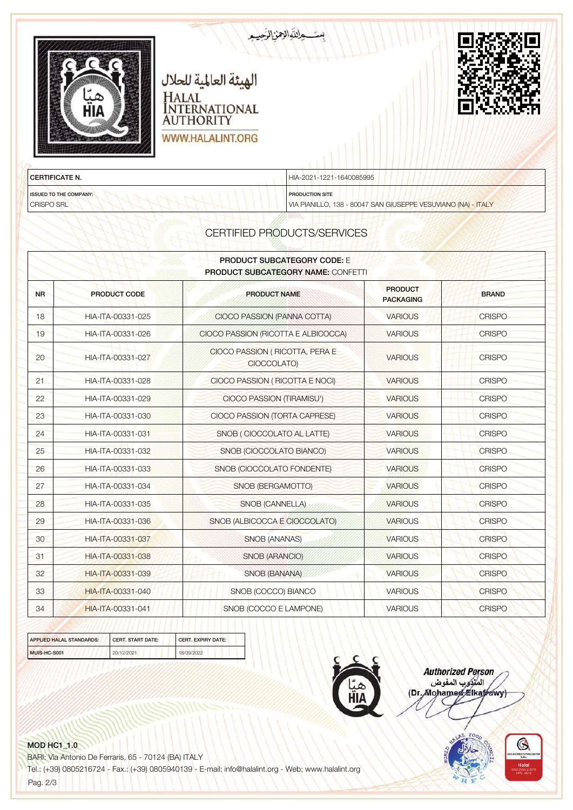

CRISPO SRL

PRODUCTION SITE

VIA PIANILLO, 138 - 80047 SAN GIUSEPPE VESUVIANO (NA) - ITALY

# CERTIFIED PRODUCTS/SERVICES

| <b>PRODUCT SUBCATEGORY CODE: E</b><br>PRODUCT SUBCATEGORY NAME: CONFETTI |                     |                                               |                                    |               |
|--------------------------------------------------------------------------|---------------------|-----------------------------------------------|------------------------------------|---------------|
| <b>NR</b>                                                                | <b>PRODUCT CODE</b> | <b>PRODUCT NAME</b>                           | <b>PRODUCT</b><br><b>PACKAGING</b> | <b>BRAND</b>  |
| 18                                                                       | HIA-ITA-00331-025   | CIOCO PASSION (PANNA COTTA)                   | <b>VARIOUS</b>                     | <b>CRISPO</b> |
| 19                                                                       | HIA-ITA-00331-026   | CIOCO PASSION (RICOTTA E ALBICOCCA)           | <b>VARIOUS</b>                     | <b>CRISPO</b> |
| 20                                                                       | HIA-ITA-00331-027   | CIOCO PASSION (RICOTTA, PERA E<br>CIOCCOLATO) | <b>VARIOUS</b>                     | <b>CRISPO</b> |
| 21                                                                       | HIA-ITA-00331-028   | CIOCO PASSION (RICOTTA E NOCI)                | <b>VARIOUS</b>                     | <b>CRISPO</b> |
| 22                                                                       | HIA-ITA-00331-029   | CIOCO PASSION (TIRAMISU')                     | <b>VARIOUS</b>                     | <b>CRISPO</b> |
| 23                                                                       | HIA-ITA-00331-030   | CIOCO PASSION (TORTA CAPRESE)                 | <b>VARIOUS</b>                     | <b>CRISPO</b> |
| 24                                                                       | HIA-ITA-00331-031   | SNOB (CIOCCOLATO AL LATTE)                    | <b>VARIOUS</b>                     | <b>CRISPO</b> |
| 25                                                                       | HIA-ITA-00331-032   | SNOB (CIOCCOLATO BIANCO)                      | <b>VARIOUS</b>                     | <b>CRISPO</b> |
| 26                                                                       | HIA-ITA-00331-033   | SNOB (CIOCCOLATO FONDENTE)                    | <b>VARIOUS</b>                     | <b>CRISPO</b> |
| 27                                                                       | HIA-ITA-00331-034   | SNOB (BERGAMOTTO)                             | <b>VARIOUS</b>                     | <b>CRISPO</b> |
| 28                                                                       | HIA-ITA-00331-035   | <b>SNOB (CANNELLA)</b>                        | <b>VARIOUS</b>                     | <b>CRISPO</b> |
| 29                                                                       | HIA-ITA-00331-036   | SNOB (ALBICOCCA E CIOCCOLATO)                 | <b>VARIOUS</b>                     | <b>CRISPO</b> |
| 30                                                                       | HIA-ITA-00331-037   | <b>SNOB (ANANAS)</b>                          | <b>VARIOUS</b>                     | <b>CRISPO</b> |
| 31                                                                       | HIA-ITA-00331-038   | SNOB (ARANCIO)                                | <b>VARIOUS</b>                     | <b>CRISPO</b> |
| 32                                                                       | HIA-ITA-00331-039   | SNOB (BANANA)                                 | <b>VARIOUS</b>                     | <b>CRISPO</b> |
| 33                                                                       | HIA-ITA-00331-040   | SNOB (COCCO) BIANCO                           | <b>VARIOUS</b>                     | <b>CRISPO</b> |
| 34                                                                       | HIA-ITA-00331-041   | SNOB (COCCO E LAMPONE)                        | <b>VARIOUS</b>                     | <b>CRISPO</b> |

| <b>APPLIED HALAL STANDARDS:</b> | <b>CERT, START DATE:</b> | <b>CERT, EXPIRY DATE:</b> |
|---------------------------------|--------------------------|---------------------------|
| MUIS-HC-S001                    | 20/12/2021               | 18/09/2022                |



**Authorized Person** المتوكرب المفوض (Dr. Mohamed Elkatrawy)

#### **MOD HC1\_1.0**

BARI: Via Antonio De Ferraris, 65 - 70124 (BA) ITALY

Tel.: (+39) 0805216724 - Fax.: (+39) 0805940139 - E-mail: info@halalint.org - Web; www.halalint.org